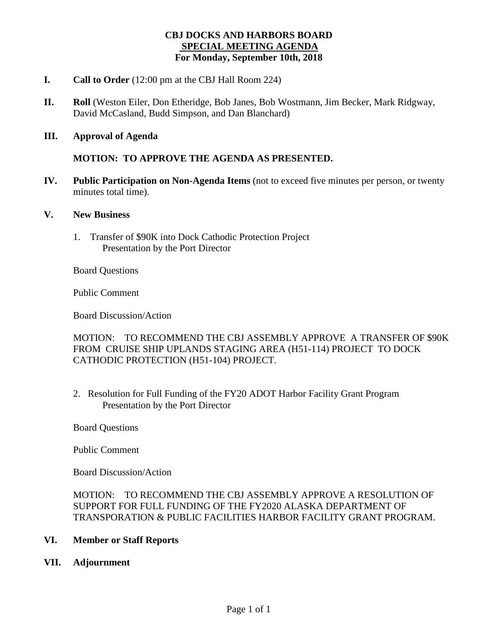#### **CBJ DOCKS AND HARBORS BOARD SPECIAL MEETING AGENDA For Monday, September 10th, 2018**

- **I. Call to Order** (12:00 pm at the CBJ Hall Room 224)
- **II. Roll** (Weston Eiler, Don Etheridge, Bob Janes, Bob Wostmann, Jim Becker, Mark Ridgway, David McCasland, Budd Simpson, and Dan Blanchard)
- **III. Approval of Agenda**

#### **MOTION: TO APPROVE THE AGENDA AS PRESENTED.**

- **IV. Public Participation on Non-Agenda Items** (not to exceed five minutes per person, or twenty minutes total time).
- **V. New Business**
	- 1. Transfer of \$90K into Dock Cathodic Protection Project Presentation by the Port Director

Board Questions

Public Comment

Board Discussion/Action

MOTION: TO RECOMMEND THE CBJ ASSEMBLY APPROVE A TRANSFER OF \$90K FROM CRUISE SHIP UPLANDS STAGING AREA (H51-114) PROJECT TO DOCK CATHODIC PROTECTION (H51-104) PROJECT.

2. Resolution for Full Funding of the FY20 ADOT Harbor Facility Grant Program Presentation by the Port Director

Board Questions

Public Comment

Board Discussion/Action

MOTION: TO RECOMMEND THE CBJ ASSEMBLY APPROVE A RESOLUTION OF SUPPORT FOR FULL FUNDING OF THE FY2020 ALASKA DEPARTMENT OF TRANSPORATION & PUBLIC FACILITIES HARBOR FACILITY GRANT PROGRAM.

#### **VI. Member or Staff Reports**

**VII. Adjournment**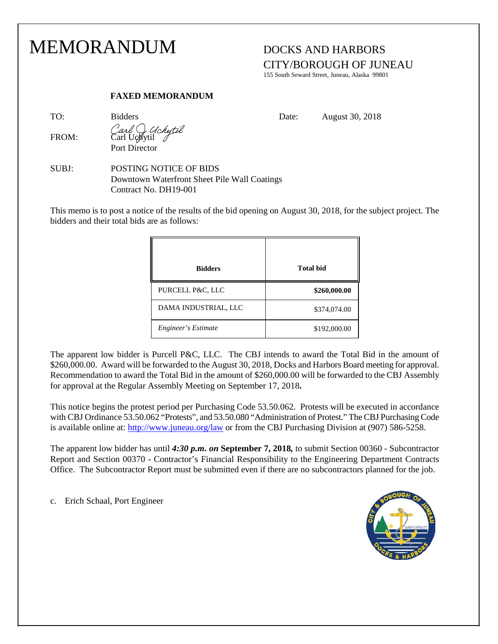### MEMORANDUM DOCKS AND HARBORS

## CITY/BOROUGH OF JUNEAU

155 South Seward Street, Juneau, Alaska 99801

#### **FAXED MEMORANDUM**

FROM: Carl Uchytil Port Director

TO: Bidders Bidders Date: August 30, 2018

SUBJ: POSTING NOTICE OF BIDS Downtown Waterfront Sheet Pile Wall Coatings Contract No. DH19-001

This memo is to post a notice of the results of the bid opening on August 30, 2018, for the subject project. The bidders and their total bids are as follows:

| <b>Bidders</b>       | <b>Total bid</b> |
|----------------------|------------------|
| PURCELL P&C, LLC     | \$260,000.00     |
| DAMA INDUSTRIAL, LLC | \$374,074.00     |
| Engineer's Estimate  | \$192,000.00     |

The apparent low bidder is Purcell P&C, LLC. The CBJ intends to award the Total Bid in the amount of \$260,000.00. Award will be forwarded to the August 30, 2018, Docks and Harbors Board meeting for approval. Recommendation to award the Total Bid in the amount of \$260,000.00 will be forwarded to the CBJ Assembly for approval at the Regular Assembly Meeting on September 17, 2018**.** 

This notice begins the protest period per Purchasing Code 53.50.062. Protests will be executed in accordance with CBJ Ordinance 53.50.062 "Protests", and 53.50.080 "Administration of Protest." The CBJ Purchasing Code is available online at:<http://www.juneau.org/law> or from the CBJ Purchasing Division at (907) 586-5258.

The apparent low bidder has until *4:30 p.m. on* **September 7, 2018***,* to submit Section 00360 - Subcontractor Report and Section 00370 - Contractor's Financial Responsibility to the Engineering Department Contracts Office. The Subcontractor Report must be submitted even if there are no subcontractors planned for the job.

c. Erich Schaal, Port Engineer

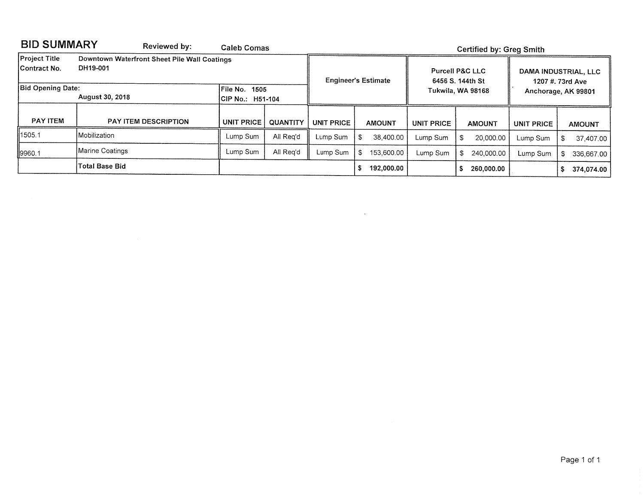| <b>BID SUMMARY</b><br>Reviewed by:                                                                |                 |                      | Caleb Comas                       |                 |                            | <b>Certified by: Greg Smith</b> |                                                                     |                   |     |                                                                 |                   |      |               |  |  |  |
|---------------------------------------------------------------------------------------------------|-----------------|----------------------|-----------------------------------|-----------------|----------------------------|---------------------------------|---------------------------------------------------------------------|-------------------|-----|-----------------------------------------------------------------|-------------------|------|---------------|--|--|--|
| <b>Project Title</b><br>Downtown Waterfront Sheet Pile Wall Coatings<br>DH19-001<br> Contract No. |                 |                      |                                   |                 | <b>Engineer's Estimate</b> |                                 | <b>Purcell P&amp;C LLC</b><br>6456 S. 144th St<br>Tukwila, WA 98168 |                   |     | DAMA INDUSTRIAL, LLC<br>1207 #. 73rd Ave<br>Anchorage, AK 99801 |                   |      |               |  |  |  |
| <b>Bid Opening Date:</b><br>August 30, 2018                                                       |                 |                      | File No. 1505<br>CIP No.: H51-104 |                 |                            |                                 |                                                                     |                   |     |                                                                 |                   |      |               |  |  |  |
| <b>PAY ITEM</b>                                                                                   |                 | PAY ITEM DESCRIPTION | <b>UNIT PRICE</b>                 | <b>QUANTITY</b> | <b>UNIT PRICE</b>          |                                 | <b>AMOUNT</b>                                                       | <b>UNIT PRICE</b> |     | <b>AMOUNT</b>                                                   | <b>UNIT PRICE</b> |      | <b>AMOUNT</b> |  |  |  |
| 11505.1                                                                                           | Mobilization    |                      | Lump Sum                          | All Rea'd       | Lump Sum                   | \$                              | 38,400.00                                                           | Lump Sum          | \$. | 20,000.00                                                       | Lump Sum          | £.   | 37,407.00     |  |  |  |
| 19960.1                                                                                           | Marine Coatings |                      | Lump Sum                          | All Reg'd       | Lump Sum                   | \$                              | 153,600.00                                                          | Lump Sum          | \$  | 240,000.00                                                      | Lump Sum          | - \$ | 336,667.00    |  |  |  |
|                                                                                                   | Total Base Bid  |                      |                                   |                 |                            |                                 | 192,000.00                                                          |                   |     | 260,000.00                                                      |                   |      | 374,074.00    |  |  |  |

 $\sim 100$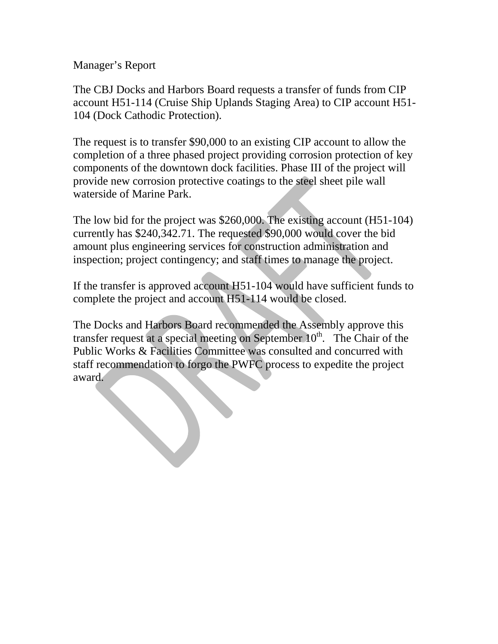Manager's Report

The CBJ Docks and Harbors Board requests a transfer of funds from CIP account H51-114 (Cruise Ship Uplands Staging Area) to CIP account H51- 104 (Dock Cathodic Protection).

The request is to transfer \$90,000 to an existing CIP account to allow the completion of a three phased project providing corrosion protection of key components of the downtown dock facilities. Phase III of the project will provide new corrosion protective coatings to the steel sheet pile wall waterside of Marine Park.

The low bid for the project was \$260,000. The existing account (H51-104) currently has \$240,342.71. The requested \$90,000 would cover the bid amount plus engineering services for construction administration and inspection; project contingency; and staff times to manage the project.

If the transfer is approved account H51-104 would have sufficient funds to complete the project and account H51-114 would be closed.

The Docks and Harbors Board recommended the Assembly approve this transfer request at a special meeting on September  $10<sup>th</sup>$ . The Chair of the Public Works & Facilities Committee was consulted and concurred with staff recommendation to forgo the PWFC process to expedite the project award.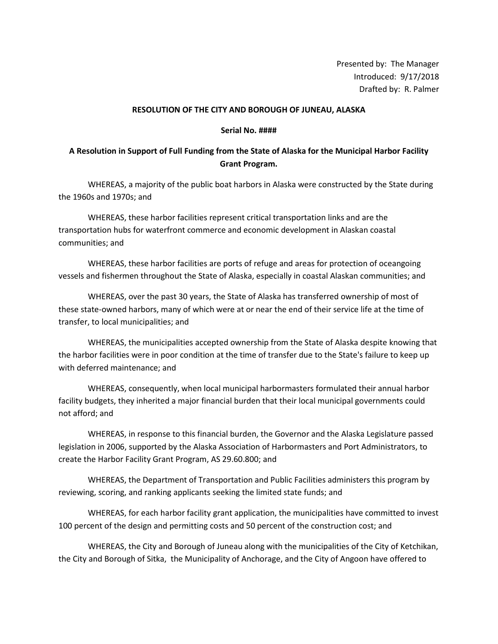Presented by: The Manager Introduced: 9/17/2018 Drafted by: R. Palmer

#### **RESOLUTION OF THE CITY AND BOROUGH OF JUNEAU, ALASKA**

#### **Serial No. ####**

#### **A Resolution in Support of Full Funding from the State of Alaska for the Municipal Harbor Facility Grant Program.**

WHEREAS, a majority of the public boat harbors in Alaska were constructed by the State during the 1960s and 1970s; and

WHEREAS, these harbor facilities represent critical transportation links and are the transportation hubs for waterfront commerce and economic development in Alaskan coastal communities; and

WHEREAS, these harbor facilities are ports of refuge and areas for protection of oceangoing vessels and fishermen throughout the State of Alaska, especially in coastal Alaskan communities; and

WHEREAS, over the past 30 years, the State of Alaska has transferred ownership of most of these state-owned harbors, many of which were at or near the end of their service life at the time of transfer, to local municipalities; and

WHEREAS, the municipalities accepted ownership from the State of Alaska despite knowing that the harbor facilities were in poor condition at the time of transfer due to the State's failure to keep up with deferred maintenance; and

WHEREAS, consequently, when local municipal harbormasters formulated their annual harbor facility budgets, they inherited a major financial burden that their local municipal governments could not afford; and

WHEREAS, in response to this financial burden, the Governor and the Alaska Legislature passed legislation in 2006, supported by the Alaska Association of Harbormasters and Port Administrators, to create the Harbor Facility Grant Program, AS 29.60.800; and

WHEREAS, the Department of Transportation and Public Facilities administers this program by reviewing, scoring, and ranking applicants seeking the limited state funds; and

WHEREAS, for each harbor facility grant application, the municipalities have committed to invest 100 percent of the design and permitting costs and 50 percent of the construction cost; and

WHEREAS, the City and Borough of Juneau along with the municipalities of the City of Ketchikan, the City and Borough of Sitka, the Municipality of Anchorage, and the City of Angoon have offered to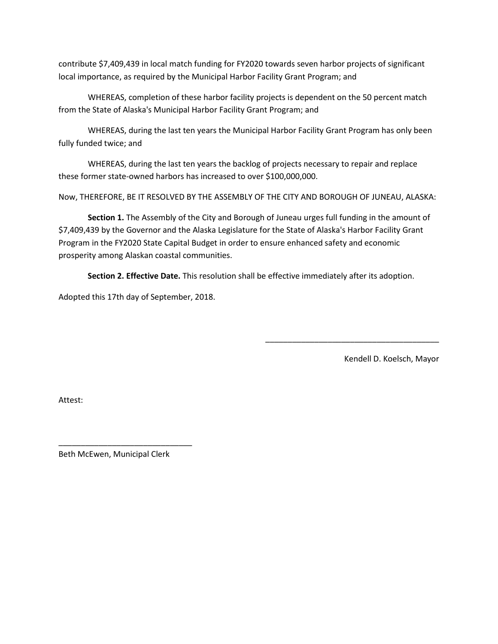contribute \$7,409,439 in local match funding for FY2020 towards seven harbor projects of significant local importance, as required by the Municipal Harbor Facility Grant Program; and

WHEREAS, completion of these harbor facility projects is dependent on the 50 percent match from the State of Alaska's Municipal Harbor Facility Grant Program; and

WHEREAS, during the last ten years the Municipal Harbor Facility Grant Program has only been fully funded twice; and

WHEREAS, during the last ten years the backlog of projects necessary to repair and replace these former state-owned harbors has increased to over \$100,000,000.

Now, THEREFORE, BE IT RESOLVED BY THE ASSEMBLY OF THE CITY AND BOROUGH OF JUNEAU, ALASKA:

**Section 1.** The Assembly of the City and Borough of Juneau urges full funding in the amount of \$7,409,439 by the Governor and the Alaska Legislature for the State of Alaska's Harbor Facility Grant Program in the FY2020 State Capital Budget in order to ensure enhanced safety and economic prosperity among Alaskan coastal communities.

**Section 2. Effective Date.** This resolution shall be effective immediately after its adoption.

Adopted this 17th day of September, 2018.

Kendell D. Koelsch, Mayor

\_\_\_\_\_\_\_\_\_\_\_\_\_\_\_\_\_\_\_\_\_\_\_\_\_\_\_\_\_\_\_\_\_\_\_\_\_\_\_

Attest:

Beth McEwen, Municipal Clerk

\_\_\_\_\_\_\_\_\_\_\_\_\_\_\_\_\_\_\_\_\_\_\_\_\_\_\_\_\_\_